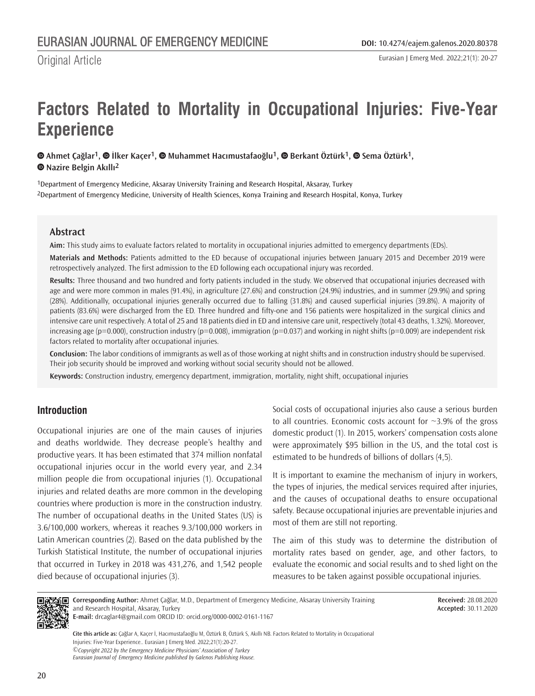Eurasian J Emerg Med. 2022;21(1): 20-27

# **Factors Related to Mortality in Occupational Injuries: Five-Year Experience**

 $\bullet$ Ahmet Çağlar<sup>1</sup>,  $\bullet$  İlker Kaçer<sup>1</sup>,  $\bullet$  Muhammet Hacımustafaoğlu<sup>1</sup>,  $\bullet$  Berkant Öztürk<sup>1</sup>,  $\bullet$  Sema Öztürk<sup>1</sup>, **Nazire Belgin Akıllı2**

1Department of Emergency Medicine, Aksaray University Training and Research Hospital, Aksaray, Turkey 2Department of Emergency Medicine, University of Health Sciences, Konya Training and Research Hospital, Konya, Turkey

## **Abstract**

Original Article

**Aim:** This study aims to evaluate factors related to mortality in occupational injuries admitted to emergency departments (EDs).

**Materials and Methods:** Patients admitted to the ED because of occupational injuries between January 2015 and December 2019 were retrospectively analyzed. The first admission to the ED following each occupational injury was recorded.

**Results:** Three thousand and two hundred and forty patients included in the study. We observed that occupational injuries decreased with age and were more common in males (91.4%), in agriculture (27.6%) and construction (24.9%) industries, and in summer (29.9%) and spring (28%). Additionally, occupational injuries generally occurred due to falling (31.8%) and caused superficial injuries (39.8%). A majority of patients (83.6%) were discharged from the ED. Three hundred and fifty-one and 156 patients were hospitalized in the surgical clinics and intensive care unit respectively. A total of 25 and 18 patients died in ED and intensive care unit, respectively (total 43 deaths, 1.32%). Moreover, increasing age ( $p=0.000$ ), construction industry ( $p=0.008$ ), immigration ( $p=0.037$ ) and working in night shifts ( $p=0.009$ ) are independent risk factors related to mortality after occupational injuries.

**Conclusion:** The labor conditions of immigrants as well as of those working at night shifts and in construction industry should be supervised. Their job security should be improved and working without social security should not be allowed.

**Keywords:** Construction industry, emergency department, immigration, mortality, night shift, occupational injuries

# **Introduction**

Occupational injuries are one of the main causes of injuries and deaths worldwide. They decrease people's healthy and productive years. It has been estimated that 374 million nonfatal occupational injuries occur in the world every year, and 2.34 million people die from occupational injuries (1). Occupational injuries and related deaths are more common in the developing countries where production is more in the construction industry. The number of occupational deaths in the United States (US) is 3.6/100,000 workers, whereas it reaches 9.3/100,000 workers in Latin American countries (2). Based on the data published by the Turkish Statistical Institute, the number of occupational injuries that occurred in Turkey in 2018 was 431,276, and 1,542 people died because of occupational injuries (3).

Social costs of occupational injuries also cause a serious burden to all countries. Economic costs account for  $\sim$ 3.9% of the gross domestic product (1). In 2015, workers' compensation costs alone were approximately \$95 billion in the US, and the total cost is estimated to be hundreds of billions of dollars (4,5).

It is important to examine the mechanism of injury in workers, the types of injuries, the medical services required after injuries, and the causes of occupational deaths to ensure occupational safety. Because occupational injuries are preventable injuries and most of them are still not reporting.

The aim of this study was to determine the distribution of mortality rates based on gender, age, and other factors, to evaluate the economic and social results and to shed light on the measures to be taken against possible occupational injuries.



**Corresponding Author:** Ahmet Çağlar, M.D., Department of Emergency Medicine, Aksaray University Training and Research Hospital, Aksaray, Turkey **E-mail:** drcaglar4@gmail.com ORCID ID: orcid.org/0000-0002-0161-1167

**Received:** 28.08.2020 **Accepted:** 30.11.2020

*©Copyright 2022 by the Emergency Medicine Physicians' Association of Turkey Eurasian Journal of Emergency Medicine published by Galenos Publishing House.* **Cite this article as:** Çağlar A, Kaçer İ, Hacımustafaoğlu M, Öztürk B, Öztürk S, Akıllı NB. Factors Related to Mortality in Occupational Injuries: Five-Year Experience.. Eurasian J Emerg Med. 2022;21(1):20-27.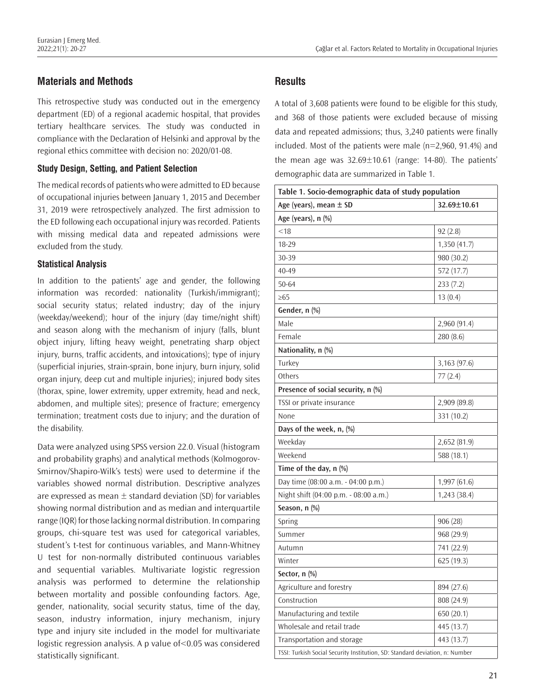# **Materials and Methods**

This retrospective study was conducted out in the emergency department (ED) of a regional academic hospital, that provides tertiary healthcare services. The study was conducted in compliance with the Declaration of Helsinki and approval by the regional ethics committee with decision no: 2020/01-08.

## **Study Design, Setting, and Patient Selection**

The medical records of patients who were admitted to ED because of occupational injuries between January 1, 2015 and December 31, 2019 were retrospectively analyzed. The first admission to the ED following each occupational injury was recorded. Patients with missing medical data and repeated admissions were excluded from the study.

## **Statistical Analysis**

In addition to the patients' age and gender, the following information was recorded: nationality (Turkish/immigrant); social security status; related industry; day of the injury (weekday/weekend); hour of the injury (day time/night shift) and season along with the mechanism of injury (falls, blunt object injury, lifting heavy weight, penetrating sharp object injury, burns, traffic accidents, and intoxications); type of injury (superficial injuries, strain-sprain, bone injury, burn injury, solid organ injury, deep cut and multiple injuries); injured body sites (thorax, spine, lower extremity, upper extremity, head and neck, abdomen, and multiple sites); presence of fracture; emergency termination; treatment costs due to injury; and the duration of the disability.

Data were analyzed using SPSS version 22.0. Visual (histogram and probability graphs) and analytical methods (Kolmogorov-Smirnov/Shapiro-Wilk's tests) were used to determine if the variables showed normal distribution. Descriptive analyzes are expressed as mean  $\pm$  standard deviation (SD) for variables showing normal distribution and as median and interquartile range (IQR) for those lacking normal distribution. In comparing groups, chi-square test was used for categorical variables, student's t-test for continuous variables, and Mann-Whitney U test for non-normally distributed continuous variables and sequential variables. Multivariate logistic regression analysis was performed to determine the relationship between mortality and possible confounding factors. Age, gender, nationality, social security status, time of the day, season, industry information, injury mechanism, injury type and injury site included in the model for multivariate logistic regression analysis. A p value of<0.05 was considered statistically significant.

# **Results**

A total of 3,608 patients were found to be eligible for this study, and 368 of those patients were excluded because of missing data and repeated admissions; thus, 3,240 patients were finally included. Most of the patients were male (n=2,960, 91.4%) and the mean age was 32.69±10.61 (range: 14-80). The patients' demographic data are summarized in Table 1.

| Table 1. Socio-demographic data of study population                          |              |  |  |
|------------------------------------------------------------------------------|--------------|--|--|
| Age (years), mean ± SD                                                       | 32.69±10.61  |  |  |
| Age (years), n (%)                                                           |              |  |  |
| < 18                                                                         | 92(2.8)      |  |  |
| 18-29                                                                        | 1,350 (41.7) |  |  |
| 30-39                                                                        | 980 (30.2)   |  |  |
| 40-49                                                                        | 572 (17.7)   |  |  |
| $50 - 64$                                                                    | 233(7.2)     |  |  |
| $\geq 65$                                                                    | 13(0.4)      |  |  |
| Gender, n (%)                                                                |              |  |  |
| Male                                                                         | 2,960(91.4)  |  |  |
| Female                                                                       | 280 (8.6)    |  |  |
| Nationality, n (%)                                                           |              |  |  |
| Turkey                                                                       | 3,163 (97.6) |  |  |
| Others                                                                       | 77(2.4)      |  |  |
| Presence of social security, n (%)                                           |              |  |  |
| TSSI or private insurance                                                    | 2,909 (89.8) |  |  |
| None                                                                         | 331 (10.2)   |  |  |
| Days of the week, n, (%)                                                     |              |  |  |
| Weekday                                                                      | 2,652 (81.9) |  |  |
| Weekend                                                                      | 588 (18.1)   |  |  |
| Time of the day, n (%)                                                       |              |  |  |
| Day time (08:00 a.m. - 04:00 p.m.)                                           | 1,997(61.6)  |  |  |
| Night shift (04:00 p.m. - 08:00 a.m.)                                        | 1,243(38.4)  |  |  |
| Season, n (%)                                                                |              |  |  |
| Spring                                                                       | 906(28)      |  |  |
| Summer                                                                       | 968 (29.9)   |  |  |
| Autumn                                                                       | 741 (22.9)   |  |  |
| Winter                                                                       | 625 (19.3)   |  |  |
| Sector, n (%)                                                                |              |  |  |
| Agriculture and forestry                                                     | 894 (27.6)   |  |  |
| Construction                                                                 | 808 (24.9)   |  |  |
| Manufacturing and textile                                                    | 650 (20.1)   |  |  |
| Wholesale and retail trade                                                   | 445 (13.7)   |  |  |
| Transportation and storage                                                   | 443 (13.7)   |  |  |
| TSSI: Turkish Social Security Institution, SD: Standard deviation, n: Number |              |  |  |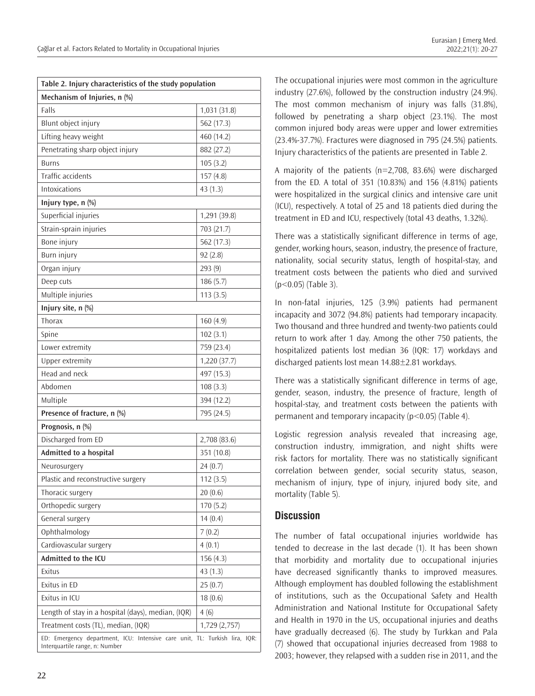| Table 2. Injury characteristics of the study population                                                      |              |
|--------------------------------------------------------------------------------------------------------------|--------------|
| Mechanism of Injuries, n (%)                                                                                 |              |
| Falls                                                                                                        | 1,031 (31.8) |
| Blunt object injury                                                                                          | 562 (17.3)   |
| Lifting heavy weight                                                                                         | 460 (14.2)   |
| Penetrating sharp object injury                                                                              | 882 (27.2)   |
| <b>Burns</b>                                                                                                 | 105(3.2)     |
| <b>Traffic accidents</b>                                                                                     | 157(4.8)     |
| <b>Intoxications</b>                                                                                         | 43(1.3)      |
| Injury type, n (%)                                                                                           |              |
| Superficial injuries                                                                                         | 1,291 (39.8) |
| Strain-sprain injuries                                                                                       | 703 (21.7)   |
| Bone injury                                                                                                  | 562 (17.3)   |
| <b>Burn injury</b>                                                                                           | 92(2.8)      |
| Organ injury                                                                                                 | 293(9)       |
| Deep cuts                                                                                                    | 186(5.7)     |
| Multiple injuries                                                                                            | 113(3.5)     |
| Injury site, n (%)                                                                                           |              |
| Thorax                                                                                                       | 160(4.9)     |
| Spine                                                                                                        | 102(3.1)     |
| Lower extremity                                                                                              | 759 (23.4)   |
| Upper extremity                                                                                              | 1,220(37.7)  |
| Head and neck                                                                                                | 497 (15.3)   |
| Abdomen                                                                                                      | 108(3.3)     |
| Multiple                                                                                                     | 394 (12.2)   |
| Presence of fracture, n (%)                                                                                  | 795 (24.5)   |
| Prognosis, n (%)                                                                                             |              |
| Discharged from ED                                                                                           | 2,708 (83.6) |
| Admitted to a hospital                                                                                       | 351 (10.8)   |
| Neurosurgery                                                                                                 | 24(0.7)      |
| Plastic and reconstructive surgery                                                                           | 112(3.5)     |
| Thoracic surgery                                                                                             | 20(0.6)      |
| Orthopedic surgery                                                                                           | 170(5.2)     |
| General surgery                                                                                              | 14(0.4)      |
| Ophthalmology                                                                                                | 7(0.2)       |
| Cardiovascular surgery                                                                                       | 4(0.1)       |
| Admitted to the ICU                                                                                          | 156(4.3)     |
| Exitus                                                                                                       | 43(1.3)      |
| Exitus in ED                                                                                                 | 25(0.7)      |
| Exitus in ICU                                                                                                | 18(0.6)      |
| Length of stay in a hospital (days), median, (IQR)                                                           | 4(6)         |
| Treatment costs (TL), median, (IQR)                                                                          | 1,729(2,757) |
| ED: Emergency department, ICU: Intensive care unit, TL: Turkish lira, IQR:<br>Interquartile range, n: Number |              |

The occupational injuries were most common in the agriculture industry (27.6%), followed by the construction industry (24.9%). The most common mechanism of injury was falls (31.8%), followed by penetrating a sharp object (23.1%). The most common injured body areas were upper and lower extremities (23.4%-37.7%). Fractures were diagnosed in 795 (24.5%) patients. Injury characteristics of the patients are presented in Table 2.

A majority of the patients (n=2,708, 83.6%) were discharged from the ED. A total of 351 (10.83%) and 156 (4.81%) patients were hospitalized in the surgical clinics and intensive care unit (ICU), respectively. A total of 25 and 18 patients died during the treatment in ED and ICU, respectively (total 43 deaths, 1.32%).

There was a statistically significant difference in terms of age, gender, working hours, season, industry, the presence of fracture, nationality, social security status, length of hospital-stay, and treatment costs between the patients who died and survived (p<0.05) (Table 3).

In non-fatal injuries, 125 (3.9%) patients had permanent incapacity and 3072 (94.8%) patients had temporary incapacity. Two thousand and three hundred and twenty-two patients could return to work after 1 day. Among the other 750 patients, the hospitalized patients lost median 36 (IQR: 17) workdays and discharged patients lost mean 14.88±2.81 workdays.

There was a statistically significant difference in terms of age, gender, season, industry, the presence of fracture, length of hospital-stay, and treatment costs between the patients with permanent and temporary incapacity ( $p$ <0.05) (Table 4).

Logistic regression analysis revealed that increasing age, construction industry, immigration, and night shifts were risk factors for mortality. There was no statistically significant correlation between gender, social security status, season, mechanism of injury, type of injury, injured body site, and mortality (Table 5).

# **Discussion**

The number of fatal occupational injuries worldwide has tended to decrease in the last decade (1). It has been shown that morbidity and mortality due to occupational injuries have decreased significantly thanks to improved measures. Although employment has doubled following the establishment of institutions, such as the Occupational Safety and Health Administration and National Institute for Occupational Safety and Health in 1970 in the US, occupational injuries and deaths have gradually decreased (6). The study by Turkkan and Pala (7) showed that occupational injuries decreased from 1988 to 2003; however, they relapsed with a sudden rise in 2011, and the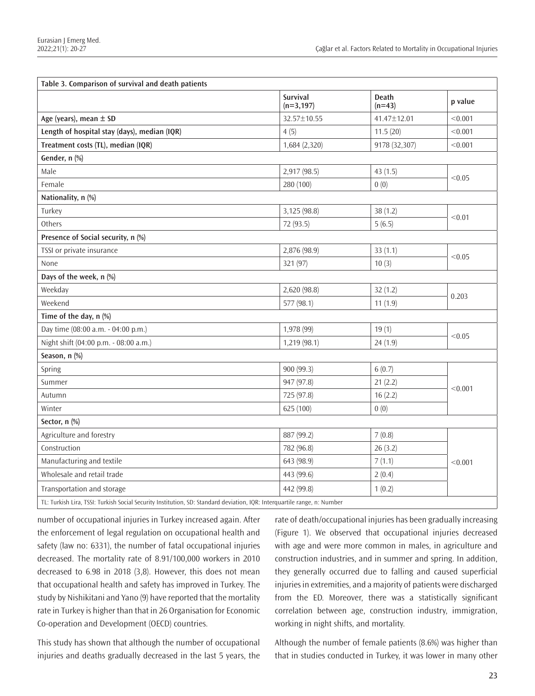| Table 3. Comparison of survival and death patients                                                                       |                          |                          |         |
|--------------------------------------------------------------------------------------------------------------------------|--------------------------|--------------------------|---------|
|                                                                                                                          | Survival<br>$(n=3, 197)$ | <b>Death</b><br>$(n=43)$ | p value |
| Age (years), mean $\pm$ SD                                                                                               | 32.57±10.55              | 41.47±12.01              | < 0.001 |
| Length of hospital stay (days), median (IQR)                                                                             | 4(5)                     | 11.5(20)                 | < 0.001 |
| Treatment costs (TL), median (IQR)                                                                                       | 1,684 (2,320)            | 9178 (32,307)            | < 0.001 |
| Gender, n (%)                                                                                                            |                          |                          |         |
| Male                                                                                                                     | 2,917 (98.5)             | 43(1.5)                  | < 0.05  |
| Female                                                                                                                   | 280 (100)                | 0(0)                     |         |
| Nationality, n (%)                                                                                                       |                          |                          |         |
| Turkey                                                                                                                   | 3,125 (98.8)             | 38 (1.2)                 | < 0.01  |
| Others                                                                                                                   | 72 (93.5)                | 5(6.5)                   |         |
| Presence of Social security, n (%)                                                                                       |                          |                          |         |
| TSSI or private insurance                                                                                                | 2,876 (98.9)             | 33(1.1)                  |         |
| None                                                                                                                     | 321 (97)                 | 10(3)                    | < 0.05  |
| Days of the week, n (%)                                                                                                  |                          |                          |         |
| Weekday                                                                                                                  | 2,620 (98.8)             | 32(1.2)                  | 0.203   |
| Weekend                                                                                                                  | 577 (98.1)               | 11(1.9)                  |         |
| Time of the day, n (%)                                                                                                   |                          |                          |         |
| Day time (08:00 a.m. - 04:00 p.m.)                                                                                       | 1,978 (99)               | 19(1)                    | < 0.05  |
| Night shift (04:00 p.m. - 08:00 a.m.)                                                                                    | 1,219(98.1)              | 24(1.9)                  |         |
| Season, n (%)                                                                                                            |                          |                          |         |
| Spring                                                                                                                   | 900 (99.3)               | 6(0.7)                   | < 0.001 |
| Summer                                                                                                                   | 947 (97.8)               | 21(2.2)                  |         |
| Autumn                                                                                                                   | 725 (97.8)               | 16(2.2)                  |         |
| Winter                                                                                                                   | 625 (100)                | 0(0)                     |         |
| Sector, n (%)                                                                                                            |                          |                          |         |
| Agriculture and forestry                                                                                                 | 887 (99.2)               | 7(0.8)                   | < 0.001 |
| Construction                                                                                                             | 782 (96.8)               | 26(3.2)                  |         |
| Manufacturing and textile                                                                                                | 643 (98.9)               | 7(1.1)                   |         |
| Wholesale and retail trade                                                                                               | 443 (99.6)               | 2(0.4)                   |         |
| Transportation and storage                                                                                               | 442 (99.8)               | 1(0.2)                   |         |
| TL: Turkish Lira, TSSI: Turkish Social Security Institution, SD: Standard deviation, IQR: Interquartile range, n: Number |                          |                          |         |

number of occupational injuries in Turkey increased again. After the enforcement of legal regulation on occupational health and safety (law no: 6331), the number of fatal occupational injuries decreased. The mortality rate of 8.91/100,000 workers in 2010 decreased to 6.98 in 2018 (3,8). However, this does not mean that occupational health and safety has improved in Turkey. The study by Nishikitani and Yano (9) have reported that the mortality rate in Turkey is higher than that in 26 Organisation for Economic Co-operation and Development (OECD) countries.

This study has shown that although the number of occupational injuries and deaths gradually decreased in the last 5 years, the rate of death/occupational injuries has been gradually increasing (Figure 1). We observed that occupational injuries decreased with age and were more common in males, in agriculture and construction industries, and in summer and spring. In addition, they generally occurred due to falling and caused superficial injuries in extremities, and a majority of patients were discharged from the ED. Moreover, there was a statistically significant correlation between age, construction industry, immigration, working in night shifts, and mortality.

Although the number of female patients (8.6%) was higher than that in studies conducted in Turkey, it was lower in many other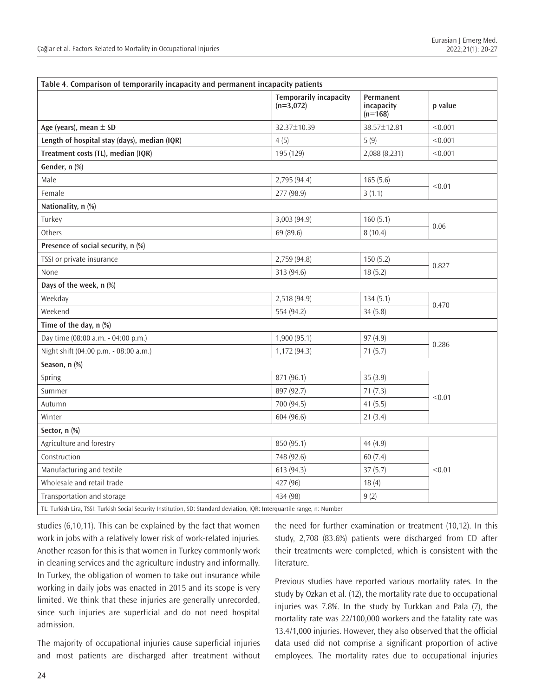| Table 4. Comparison of temporarily incapacity and permanent incapacity patients                                          |                                              |                                      |         |
|--------------------------------------------------------------------------------------------------------------------------|----------------------------------------------|--------------------------------------|---------|
|                                                                                                                          | <b>Temporarily incapacity</b><br>$(n=3,072)$ | Permanent<br>incapacity<br>$(n=168)$ | p value |
| Age (years), mean $\pm$ SD                                                                                               | 32.37±10.39                                  | 38.57±12.81                          | < 0.001 |
| Length of hospital stay (days), median (IQR)                                                                             | 4(5)                                         | 5(9)                                 | < 0.001 |
| Treatment costs (TL), median (IQR)                                                                                       | 195 (129)                                    | 2,088 (8,231)                        | < 0.001 |
| Gender, n (%)                                                                                                            |                                              |                                      |         |
| Male                                                                                                                     | 2,795 (94.4)                                 | 165(5.6)                             | < 0.01  |
| Female                                                                                                                   | 277 (98.9)                                   | 3(1.1)                               |         |
| Nationality, n (%)                                                                                                       |                                              |                                      |         |
| Turkey                                                                                                                   | 3,003 (94.9)                                 | 160(5.1)                             | 0.06    |
| Others                                                                                                                   | 69 (89.6)                                    | 8(10.4)                              |         |
| Presence of social security, n (%)                                                                                       |                                              |                                      |         |
| TSSI or private insurance                                                                                                | 2,759 (94.8)                                 | 150(5.2)                             | 0.827   |
| None                                                                                                                     | 313 (94.6)                                   | 18(5.2)                              |         |
| Days of the week, n (%)                                                                                                  |                                              |                                      |         |
| Weekday                                                                                                                  | 2,518 (94.9)                                 | 134(5.1)                             | 0.470   |
| Weekend                                                                                                                  | 554 (94.2)                                   | 34(5.8)                              |         |
| Time of the day, n (%)                                                                                                   |                                              |                                      |         |
| Day time (08:00 a.m. - 04:00 p.m.)                                                                                       | 1,900(95.1)                                  | 97(4.9)                              | 0.286   |
| Night shift (04:00 p.m. - 08:00 a.m.)                                                                                    | 1,172 (94.3)                                 | 71(5.7)                              |         |
| Season, n (%)                                                                                                            |                                              |                                      |         |
| Spring                                                                                                                   | 871 (96.1)                                   | 35(3.9)                              | < 0.01  |
| Summer                                                                                                                   | 897 (92.7)                                   | 71(7.3)                              |         |
| Autumn                                                                                                                   | 700 (94.5)                                   | 41(5.5)                              |         |
| Winter                                                                                                                   | 604 (96.6)                                   | 21(3.4)                              |         |
| Sector, n (%)                                                                                                            |                                              |                                      |         |
| Agriculture and forestry                                                                                                 | 850 (95.1)                                   | 44 (4.9)                             | < 0.01  |
| Construction                                                                                                             | 748 (92.6)                                   | 60(7.4)                              |         |
| Manufacturing and textile                                                                                                | 613 (94.3)                                   | 37(5.7)                              |         |
| Wholesale and retail trade                                                                                               | 427 (96)                                     | 18(4)                                |         |
| Transportation and storage                                                                                               | 434 (98)                                     | 9(2)                                 |         |
| TL: Turkish Lira, TSSI: Turkish Social Security Institution, SD: Standard deviation, IQR: Interquartile range, n: Number |                                              |                                      |         |

studies (6,10,11). This can be explained by the fact that women work in jobs with a relatively lower risk of work-related injuries. Another reason for this is that women in Turkey commonly work in cleaning services and the agriculture industry and informally. In Turkey, the obligation of women to take out insurance while working in daily jobs was enacted in 2015 and its scope is very limited. We think that these injuries are generally unrecorded, since such injuries are superficial and do not need hospital admission.

The majority of occupational injuries cause superficial injuries and most patients are discharged after treatment without the need for further examination or treatment (10,12). In this study, 2,708 (83.6%) patients were discharged from ED after their treatments were completed, which is consistent with the literature.

Previous studies have reported various mortality rates. In the study by Ozkan et al. (12), the mortality rate due to occupational injuries was 7.8%. In the study by Turkkan and Pala (7), the mortality rate was 22/100,000 workers and the fatality rate was 13.4/1,000 injuries. However, they also observed that the official data used did not comprise a significant proportion of active employees. The mortality rates due to occupational injuries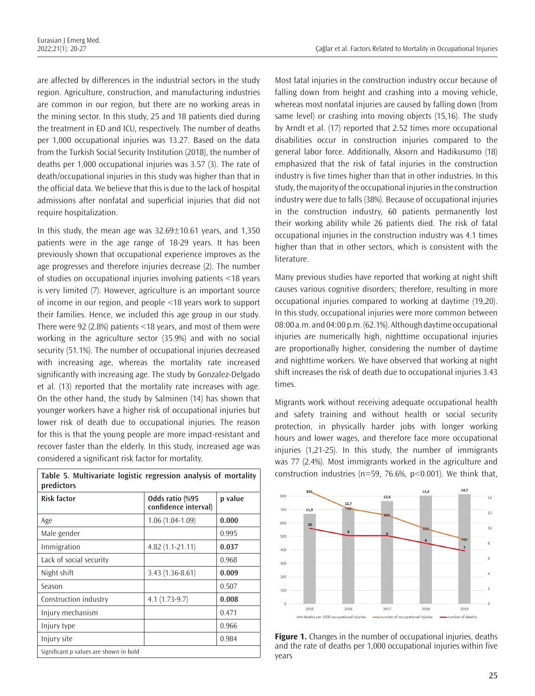are affected by differences in the industrial sectors in the study region. Agriculture, construction, and manufacturing industries are common in our region, but there are no working areas in the mining sector. In this study, 25 and 18 patients died during the treatment in ED and ICU, respectively. The number of deaths per 1,000 occupational injuries was 13.27. Based on the data from the Turkish Social Security Institution (2018), the number of deaths per 1,000 occupational injuries was 3.57 (3). The rate of death/occupational injuries in this study was higher than that in the official data. We believe that this is due to the lack of hospital admissions after nonfatal and superficial injuries that did not require hospitalization.

In this study, the mean age was  $32.69 \pm 10.61$  years, and  $1,350$ patients were in the age range of 18-29 years. It has been previously shown that occupational experience improves as the age progresses and therefore injuries decrease (2). The number of studies on occupational injuries involving patients <18 years is very limited (7). However, agriculture is an important source of income in our region, and people <18 years work to support their families. Hence, we included this age group in our study. There were 92 (2.8%) patients <18 years, and most of them were working in the agriculture sector (35.9%) and with no social security (51.1%). The number of occupational injuries decreased with increasing age, whereas the mortality rate increased significantly with increasing age. The study by Gonzalez-Delgado et al. (13) reported that the mortality rate increases with age. On the other hand, the study by Salminen (14) has shown that younger workers have a higher risk of occupational injuries but lower risk of death due to occupational injuries. The reason for this is that the young people are more impact-resistant and recover faster than the elderly. In this study, increased age was considered a significant risk factor for mortality.

| Table 5. Multivariate Togistic regression analysis of mortanty<br>predictors |                                         |         |  |
|------------------------------------------------------------------------------|-----------------------------------------|---------|--|
| <b>Risk factor</b>                                                           | Odds ratio (%95<br>confidence interval) | p value |  |
| Age                                                                          | $1.06(1.04-1.09)$                       | 0.000   |  |
| Male gender                                                                  |                                         | 0.995   |  |
| Immigration                                                                  | $4.82(1.1-21.11)$                       | 0.037   |  |
| Lack of social security                                                      |                                         | 0.968   |  |
| Night shift                                                                  | 3.43 (1.36-8.61)                        | 0.009   |  |
| Season                                                                       |                                         | 0.507   |  |
| Construction industry                                                        | $4.1(1.73-9.7)$                         | 0.008   |  |
| Injury mechanism                                                             |                                         | 0.471   |  |
| Injury type                                                                  |                                         | 0.966   |  |
| Injury site                                                                  |                                         | 0.984   |  |
| Significant p values are shown in bold                                       |                                         |         |  |

Most fatal injuries in the construction industry occur because of falling down from height and crashing into a moving vehicle, whereas most nonfatal injuries are caused by falling down (from same level) or crashing into moving objects (15,16). The study by Arndt et al. (17) reported that 2.52 times more occupational disabilities occur in construction injuries compared to the general labor force. Additionally, Aksorn and Hadikusumo (18) emphasized that the risk of fatal injuries in the construction industry is five times higher than that in other industries. In this study, the majority of the occupational injuries in the construction industry were due to falls (38%). Because of occupational injuries in the construction industry, 60 patients permanently lost their working ability while 26 patients died. The risk of fatal occupational injuries in the construction industry was 4.1 times higher than that in other sectors, which is consistent with the literature.

Many previous studies have reported that working at night shift causes various cognitive disorders; therefore, resulting in more occupational injuries compared to working at daytime (19,20). In this study, occupational injuries were more common between 08:00 a.m. and 04:00 p.m. (62.1%). Although daytime occupational injuries are numerically high, nighttime occupational injuries are proportionally higher, considering the number of daytime and nighttime workers. We have observed that working at night shift increases the risk of death due to occupational injuries 3.43 times.

Migrants work without receiving adequate occupational health and safety training and without health or social security protection, in physically harder jobs with longer working hours and lower wages, and therefore face more occupational injuries (1,21-25). In this study, the number of immigrants was 77 (2.4%). Most immigrants worked in the agriculture and **Table 5. Multivariate logistic regression analysis of mortality** construction industries (n=59, 76.6%, p<0.001). We think that,



**Figure 1.** Changes in the number of occupational injuries, deaths and the rate of deaths per 1,000 occupational injuries within five years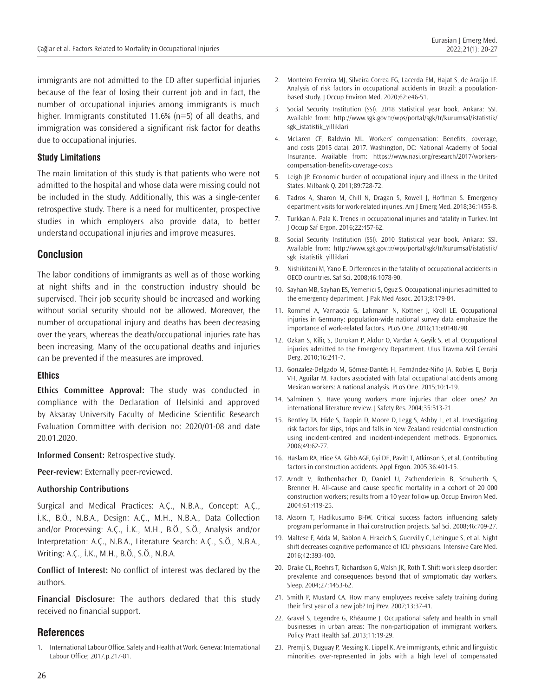immigrants are not admitted to the ED after superficial injuries because of the fear of losing their current job and in fact, the number of occupational injuries among immigrants is much higher. Immigrants constituted 11.6% (n=5) of all deaths, and immigration was considered a significant risk factor for deaths due to occupational injuries.

#### **Study Limitations**

The main limitation of this study is that patients who were not admitted to the hospital and whose data were missing could not be included in the study. Additionally, this was a single-center retrospective study. There is a need for multicenter, prospective studies in which employers also provide data, to better understand occupational injuries and improve measures.

### **Conclusion**

The labor conditions of immigrants as well as of those working at night shifts and in the construction industry should be supervised. Their job security should be increased and working without social security should not be allowed. Moreover, the number of occupational injury and deaths has been decreasing over the years, whereas the death/occupational injuries rate has been increasing. Many of the occupational deaths and injuries can be prevented if the measures are improved.

#### **Ethics**

**Ethics Committee Approval:** The study was conducted in compliance with the Declaration of Helsinki and approved by Aksaray University Faculty of Medicine Scientific Research Evaluation Committee with decision no: 2020/01-08 and date 20.01.2020.

**Informed Consent:** Retrospective study.

**Peer-review:** Externally peer-reviewed.

#### **Authorship Contributions**

Surgical and Medical Practices: A.Ç., N.B.A., Concept: A.Ç., İ.K., B.Ö., N.B.A., Design: A.Ç., M.H., N.B.A., Data Collection and/or Processing: A.Ç., İ.K., M.H., B.Ö., S.Ö., Analysis and/or Interpretation: A.Ç., N.B.A., Literature Search: A.Ç., S.Ö., N.B.A., Writing: A.Ç., İ.K., M.H., B.Ö., S.Ö., N.B.A.

**Conflict of Interest:** No conflict of interest was declared by the authors.

**Financial Disclosure:** The authors declared that this study received no financial support.

#### **References**

1. International Labour Office. Safety and Health at Work. Geneva: International Labour Office; 2017.p.217-81.

- 2. Monteiro Ferreira MJ, Silveira Correa FG, Lacerda EM, Hajat S, de Araújo LF. Analysis of risk factors in occupational accidents in Brazil: a populationbased study. J Occup Environ Med. 2020;62:e46-51.
- 3. Social Security Institution (SSI). 2018 Statistical year book. Ankara: SSI. Available from: http://www.sgk.gov.tr/wps/portal/sgk/tr/kurumsal/istatistik/ sgk\_istatistik\_yilliklari
- 4. McLaren CF, Baldwin ML. Workers' compensation: Benefits, coverage, and costs (2015 data). 2017. Washington, DC: National Academy of Social Insurance. Available from: https://www.nasi.org/research/2017/workerscompensation-benefits-coverage-costs
- 5. Leigh JP. Economic burden of occupational injury and illness in the United States. Milbank Q. 2011;89:728-72.
- 6. Tadros A, Sharon M, Chill N, Dragan S, Rowell J, Hoffman S. Emergency department visits for work-related injuries. Am J Emerg Med. 2018;36:1455-8.
- 7. Turkkan A, Pala K. Trends in occupational injuries and fatality in Turkey. Int J Occup Saf Ergon. 2016;22:457-62.
- 8. Social Security Institution (SSI). 2010 Statistical year book. Ankara: SSI. Available from: http://www.sgk.gov.tr/wps/portal/sgk/tr/kurumsal/istatistik/ sgk\_istatistik\_yilliklari
- 9. Nishikitani M, Yano E. Differences in the fatality of occupational accidents in OECD countries. Saf Sci. 2008;46:1078-90.
- 10. Sayhan MB, Sayhan ES, Yemenici S, Oguz S. Occupational injuries admitted to the emergency department. J Pak Med Assoc. 2013;8:179-84.
- 11. Rommel A, Varnaccia G, Lahmann N, Kottner J, Kroll LE. Occupational injuries in Germany: population-wide national survey data emphasize the importance of work-related factors. PLoS One. 2016;11:e0148798.
- 12. Ozkan S, Kiliç S, Durukan P, Akdur O, Vardar A, Geyik S, et al. Occupational injuries admitted to the Emergency Department. Ulus Travma Acil Cerrahi Derg. 2010;16:241-7.
- 13. Gonzalez-Delgado M, Gómez-Dantés H, Fernández-Niño JA, Robles E, Borja VH, Aguilar M. Factors associated with fatal occupational accidents among Mexican workers: A national analysis. PLoS One. 2015;10:1-19.
- 14. Salminen S. Have young workers more injuries than older ones? An international literature review. J Safety Res. 2004;35:513-21.
- 15. Bentley TA, Hide S, Tappin D, Moore D, Legg S, Ashby L, et al. Investigating risk factors for slips, trips and falls in New Zealand residential construction using incident-centred and incident-independent methods. Ergonomics. 2006;49:62-77.
- 16. Haslam RA, Hide SA, Gibb AGF, Gyi DE, Pavitt T, Atkinson S, et al. Contributing factors in construction accidents. Appl Ergon. 2005;36:401-15.
- 17. Arndt V, Rothenbacher D, Daniel U, Zschenderlein B, Schuberth S, Brenner H. All-cause and cause specific mortality in a cohort of 20 000 construction workers; results from a 10 year follow up. Occup Environ Med. 2004;61:419-25.
- 18. Aksorn T, Hadikusumo BHW. Critical success factors influencing safety program performance in Thai construction projects. Saf Sci. 2008;46:709-27.
- 19. Maltese F, Adda M, Bablon A, Hraeich S, Guervilly C, Lehingue S, et al. Night shift decreases cognitive performance of ICU physicians. Intensive Care Med. 2016;42:393-400.
- 20. Drake CL, Roehrs T, Richardson G, Walsh JK, Roth T. Shift work sleep disorder: prevalence and consequences beyond that of symptomatic day workers. Sleep. 2004;27:1453-62.
- 21. Smith P, Mustard CA. How many employees receive safety training during their first year of a new job? Inj Prev. 2007;13:37-41.
- 22. Gravel S, Legendre G, Rhéaume J. Occupational safety and health in small businesses in urban areas: The non-participation of immigrant workers. Policy Pract Health Saf. 2013;11:19-29.
- 23. Premji S, Duguay P, Messing K, Lippel K. Are immigrants, ethnic and linguistic minorities over-represented in jobs with a high level of compensated